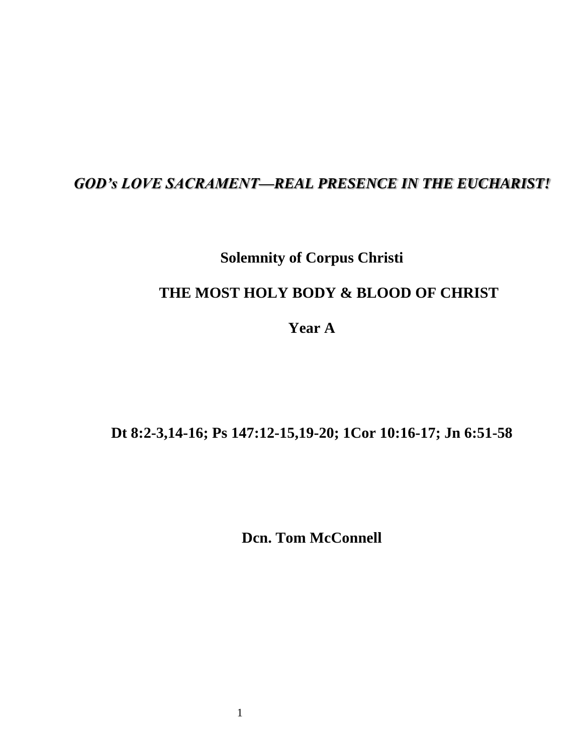## *GOD's LOVE SACRAMENT—REAL PRESENCE IN THE EUCHARIST!*

## **Solemnity of Corpus Christi**

## **THE MOST HOLY BODY & BLOOD OF CHRIST**

**Year A**

## **Dt 8:2-3,14-16; Ps 147:12-15,19-20; 1Cor 10:16-17; Jn 6:51-58**

**Dcn. Tom McConnell**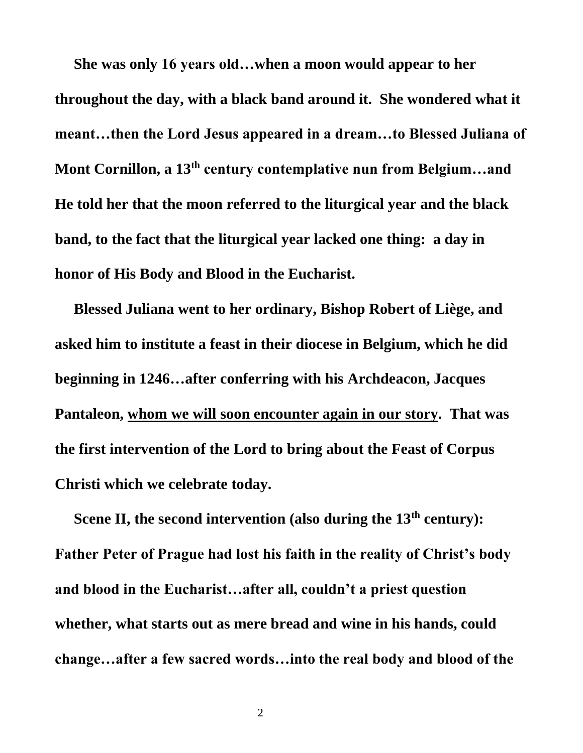**She was only 16 years old…when a moon would appear to her throughout the day, with a black band around it. She wondered what it meant…then the Lord Jesus appeared in a dream…to Blessed Juliana of Mont Cornillon, a 13th century contemplative nun from Belgium…and He told her that the moon referred to the liturgical year and the black band, to the fact that the liturgical year lacked one thing: a day in honor of His Body and Blood in the Eucharist.** 

 **Blessed Juliana went to her ordinary, Bishop Robert of Liège, and asked him to institute a feast in their diocese in Belgium, which he did beginning in 1246…after conferring with his Archdeacon, Jacques Pantaleon, whom we will soon encounter again in our story. That was the first intervention of the Lord to bring about the Feast of Corpus Christi which we celebrate today.**

 **Scene II, the second intervention (also during the 13th century): Father Peter of Prague had lost his faith in the reality of Christ's body and blood in the Eucharist…after all, couldn't a priest question whether, what starts out as mere bread and wine in his hands, could change…after a few sacred words…into the real body and blood of the**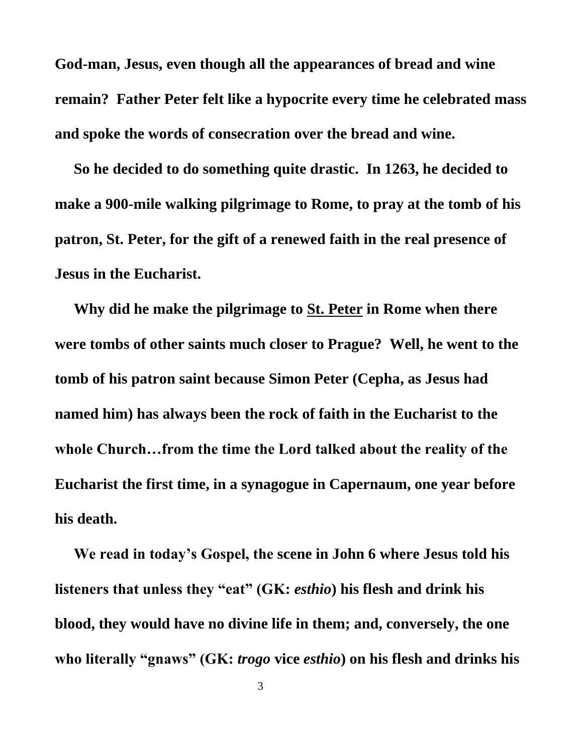**God-man, Jesus, even though all the appearances of bread and wine remain? Father Peter felt like a hypocrite every time he celebrated mass and spoke the words of consecration over the bread and wine.**

 **So he decided to do something quite drastic. In 1263, he decided to make a 900-mile walking pilgrimage to Rome, to pray at the tomb of his patron, St. Peter, for the gift of a renewed faith in the real presence of Jesus in the Eucharist.** 

 **Why did he make the pilgrimage to St. Peter in Rome when there were tombs of other saints much closer to Prague? Well, he went to the tomb of his patron saint because Simon Peter (Cepha, as Jesus had named him) has always been the rock of faith in the Eucharist to the whole Church…from the time the Lord talked about the reality of the Eucharist the first time, in a synagogue in Capernaum, one year before his death.**

 **We read in today's Gospel, the scene in John 6 where Jesus told his listeners that unless they "eat" (GK:** *esthio***) his flesh and drink his blood, they would have no divine life in them; and, conversely, the one who literally "gnaws" (GK:** *trogo* **vice** *esthio***) on his flesh and drinks his**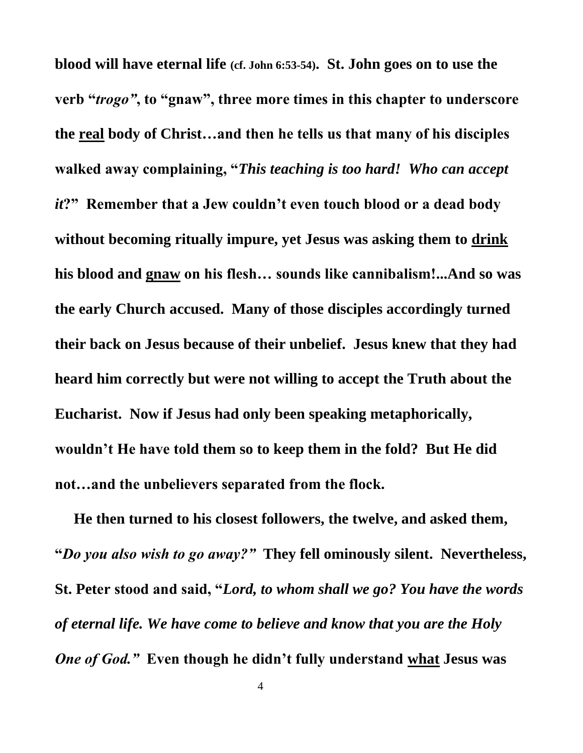**blood will have eternal life (cf. John 6:53-54). St. John goes on to use the verb "***trogo"***, to "gnaw", three more times in this chapter to underscore the real body of Christ…and then he tells us that many of his disciples walked away complaining, "***This teaching is too hard! Who can accept it***?" Remember that a Jew couldn't even touch blood or a dead body without becoming ritually impure, yet Jesus was asking them to drink his blood and gnaw on his flesh… sounds like cannibalism!...And so was the early Church accused. Many of those disciples accordingly turned their back on Jesus because of their unbelief. Jesus knew that they had heard him correctly but were not willing to accept the Truth about the Eucharist. Now if Jesus had only been speaking metaphorically, wouldn't He have told them so to keep them in the fold? But He did not…and the unbelievers separated from the flock.** 

 **He then turned to his closest followers, the twelve, and asked them, "***Do you also wish to go away?"* **They fell ominously silent. Nevertheless, St. Peter stood and said, "***Lord, to whom shall we go? You have the words of eternal life. We have come to believe and know that you are the Holy One of God."* **Even though he didn't fully understand what Jesus was**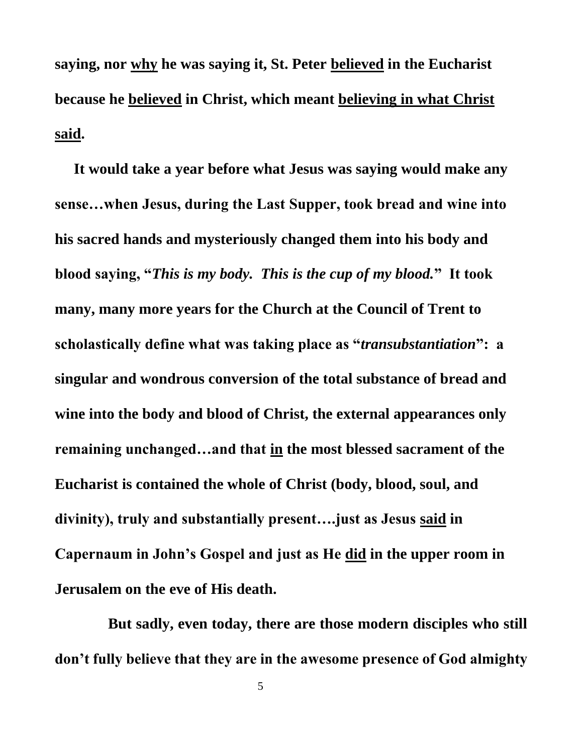**saying, nor why he was saying it, St. Peter believed in the Eucharist because he believed in Christ, which meant believing in what Christ said.**

 **It would take a year before what Jesus was saying would make any sense…when Jesus, during the Last Supper, took bread and wine into his sacred hands and mysteriously changed them into his body and blood saying, "***This is my body. This is the cup of my blood.***" It took many, many more years for the Church at the Council of Trent to scholastically define what was taking place as "***transubstantiation***": a singular and wondrous conversion of the total substance of bread and wine into the body and blood of Christ, the external appearances only remaining unchanged…and that in the most blessed sacrament of the Eucharist is contained the whole of Christ (body, blood, soul, and divinity), truly and substantially present….just as Jesus said in Capernaum in John's Gospel and just as He did in the upper room in Jerusalem on the eve of His death.**

 **But sadly, even today, there are those modern disciples who still don't fully believe that they are in the awesome presence of God almighty**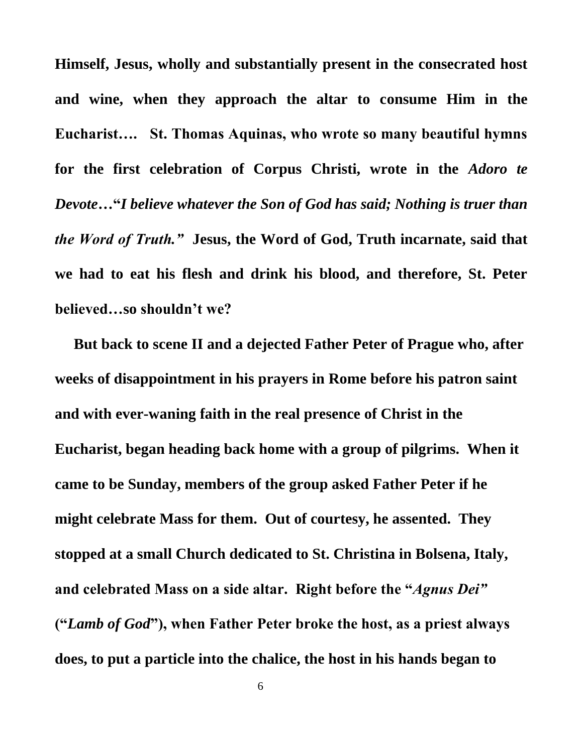**Himself, Jesus, wholly and substantially present in the consecrated host and wine, when they approach the altar to consume Him in the Eucharist…. St. Thomas Aquinas, who wrote so many beautiful hymns for the first celebration of Corpus Christi, wrote in the** *Adoro te Devote***…"***I believe whatever the Son of God has said; Nothing is truer than the Word of Truth."* **Jesus, the Word of God, Truth incarnate, said that we had to eat his flesh and drink his blood, and therefore, St. Peter believed…so shouldn't we?**

 **But back to scene II and a dejected Father Peter of Prague who, after weeks of disappointment in his prayers in Rome before his patron saint and with ever-waning faith in the real presence of Christ in the Eucharist, began heading back home with a group of pilgrims. When it came to be Sunday, members of the group asked Father Peter if he might celebrate Mass for them. Out of courtesy, he assented. They stopped at a small Church dedicated to St. Christina in Bolsena, Italy, and celebrated Mass on a side altar. Right before the "***Agnus Dei"*  **("***Lamb of God***"), when Father Peter broke the host, as a priest always does, to put a particle into the chalice, the host in his hands began to**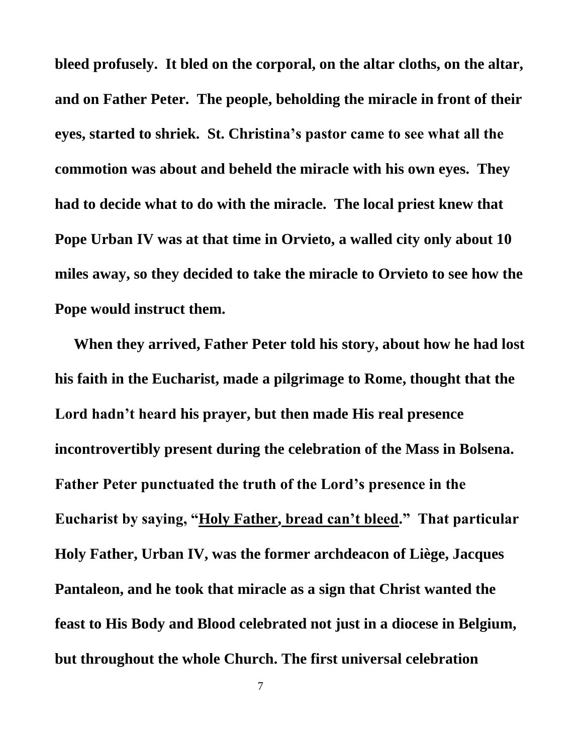**bleed profusely. It bled on the corporal, on the altar cloths, on the altar, and on Father Peter. The people, beholding the miracle in front of their eyes, started to shriek. St. Christina's pastor came to see what all the commotion was about and beheld the miracle with his own eyes. They had to decide what to do with the miracle. The local priest knew that Pope Urban IV was at that time in Orvieto, a walled city only about 10 miles away, so they decided to take the miracle to Orvieto to see how the Pope would instruct them.**

 **When they arrived, Father Peter told his story, about how he had lost his faith in the Eucharist, made a pilgrimage to Rome, thought that the Lord hadn't heard his prayer, but then made His real presence incontrovertibly present during the celebration of the Mass in Bolsena. Father Peter punctuated the truth of the Lord's presence in the Eucharist by saying, "Holy Father, bread can't bleed." That particular Holy Father, Urban IV, was the former archdeacon of Liège, Jacques Pantaleon, and he took that miracle as a sign that Christ wanted the feast to His Body and Blood celebrated not just in a diocese in Belgium, but throughout the whole Church. The first universal celebration**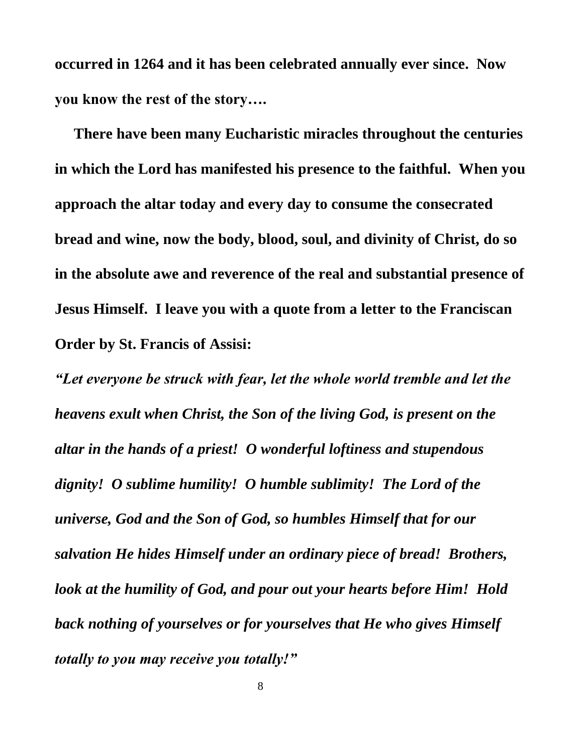**occurred in 1264 and it has been celebrated annually ever since. Now you know the rest of the story….** 

 **There have been many Eucharistic miracles throughout the centuries in which the Lord has manifested his presence to the faithful. When you approach the altar today and every day to consume the consecrated bread and wine, now the body, blood, soul, and divinity of Christ, do so in the absolute awe and reverence of the real and substantial presence of Jesus Himself. I leave you with a quote from a letter to the Franciscan Order by St. Francis of Assisi:**

*"Let everyone be struck with fear, let the whole world tremble and let the heavens exult when Christ, the Son of the living God, is present on the altar in the hands of a priest! O wonderful loftiness and stupendous dignity! O sublime humility! O humble sublimity! The Lord of the universe, God and the Son of God, so humbles Himself that for our salvation He hides Himself under an ordinary piece of bread! Brothers, look at the humility of God, and pour out your hearts before Him! Hold back nothing of yourselves or for yourselves that He who gives Himself totally to you may receive you totally!"*